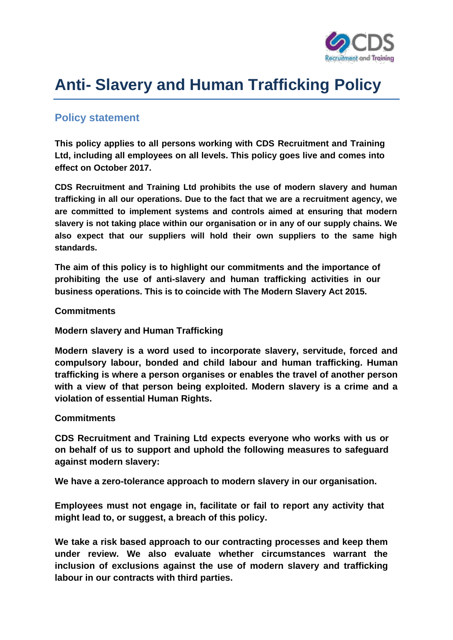

## **Anti- Slavery and Human Trafficking Policy**

## **Policy statement**

**This policy applies to all persons working with CDS Recruitment and Training Ltd, including all employees on all levels. This policy goes live and comes into effect on October 2017.**

**CDS Recruitment and Training Ltd prohibits the use of modern slavery and human trafficking in all our operations. Due to the fact that we are a recruitment agency, we are committed to implement systems and controls aimed at ensuring that modern slavery is not taking place within our organisation or in any of our supply chains. We also expect that our suppliers will hold their own suppliers to the same high standards.**

**The aim of this policy is to highlight our commitments and the importance of prohibiting the use of anti-slavery and human trafficking activities in our business operations. This is to coincide with The Modern Slavery Act 2015.**

**Commitments**

**Modern slavery and Human Trafficking**

**Modern slavery is a word used to incorporate slavery, servitude, forced and compulsory labour, bonded and child labour and human trafficking. Human trafficking is where a person organises or enables the travel of another person with a view of that person being exploited. Modern slavery is a crime and a violation of essential Human Rights.**

## **Commitments**

**CDS Recruitment and Training Ltd expects everyone who works with us or on behalf of us to support and uphold the following measures to safeguard against modern slavery:**

**We have a zero-tolerance approach to modern slavery in our organisation.**

**Employees must not engage in, facilitate or fail to report any activity that might lead to, or suggest, a breach of this policy.**

**We take a risk based approach to our contracting processes and keep them under review. We also evaluate whether circumstances warrant the inclusion of exclusions against the use of modern slavery and trafficking labour in our contracts with third parties.**